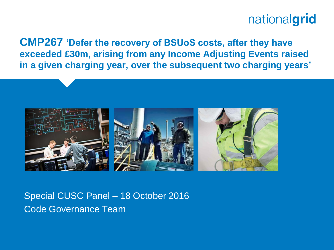**CMP267 'Defer the recovery of BSUoS costs, after they have exceeded £30m, arising from any Income Adjusting Events raised in a given charging year, over the subsequent two charging years'**



Special CUSC Panel – 18 October 2016 Code Governance Team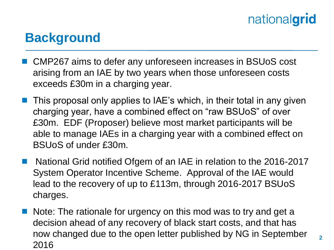#### **Background**

- CMP267 aims to defer any unforeseen increases in BSUoS cost arising from an IAE by two years when those unforeseen costs exceeds £30m in a charging year.
- This proposal only applies to IAE's which, in their total in any given charging year, have a combined effect on "raw BSUoS" of over £30m. EDF (Proposer) believe most market participants will be able to manage IAEs in a charging year with a combined effect on BSUoS of under £30m.
- National Grid notified Ofgem of an IAE in relation to the 2016-2017 System Operator Incentive Scheme. Approval of the IAE would lead to the recovery of up to £113m, through 2016-2017 BSUoS charges.
- Note: The rationale for urgency on this mod was to try and get a decision ahead of any recovery of black start costs, and that has now changed due to the open letter published by NG in September 2016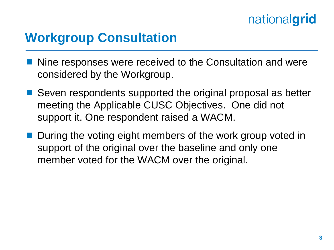### **Workgroup Consultation**

- Nine responses were received to the Consultation and were considered by the Workgroup.
- Seven respondents supported the original proposal as better meeting the Applicable CUSC Objectives. One did not support it. One respondent raised a WACM.
- **During the voting eight members of the work group voted in** support of the original over the baseline and only one member voted for the WACM over the original.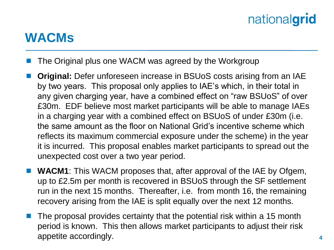#### **WACMs**

- The Original plus one WACM was agreed by the Workgroup
- **Original:** Defer unforeseen increase in BSUoS costs arising from an IAE by two years. This proposal only applies to IAE's which, in their total in any given charging year, have a combined effect on "raw BSUoS" of over £30m. EDF believe most market participants will be able to manage IAEs in a charging year with a combined effect on BSUoS of under £30m (i.e. the same amount as the floor on National Grid's incentive scheme which reflects its maximum commercial exposure under the scheme) in the year it is incurred. This proposal enables market participants to spread out the unexpected cost over a two year period.
- **WACM1**: This WACM proposes that, after approval of the IAE by Ofgem, up to £2.5m per month is recovered in BSUoS through the SF settlement run in the next 15 months. Thereafter, i.e. from month 16, the remaining recovery arising from the IAE is split equally over the next 12 months.
- The proposal provides certainty that the potential risk within a 15 month period is known. This then allows market participants to adjust their risk appetite accordingly.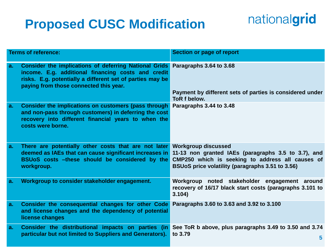### **Proposed CUSC Modification**

# nationalgrid

| <b>Terms of reference:</b> |                                                                                                                                                                                                                                            | Section or page of report                                                                                                                                   |
|----------------------------|--------------------------------------------------------------------------------------------------------------------------------------------------------------------------------------------------------------------------------------------|-------------------------------------------------------------------------------------------------------------------------------------------------------------|
| a.                         | Consider the implications of deferring National Grids Paragraphs 3.64 to 3.68<br>income. E.g. additional financing costs and credit<br>risks. E.g. potentially a different set of parties may be<br>paying from those connected this year. |                                                                                                                                                             |
|                            |                                                                                                                                                                                                                                            | Payment by different sets of parties is considered under<br>ToR f below.                                                                                    |
| a.                         | Consider the implications on customers (pass through<br>and non-pass through customers) in deferring the cost<br>recovery into different financial years to when the<br>costs were borne.                                                  | Paragraphs 3.44 to 3.48                                                                                                                                     |
| a.                         | There are potentially other costs that are not later Workgroup discussed<br>deemed as IAEs that can cause significant increases in<br>BSUoS costs -these should be considered by the<br>workgroup.                                         | 11-13 non granted IAEs (paragraphs 3.5 to 3.7), and<br>CMP250 which is seeking to address all causes of<br>BSUoS price volatility (paragraphs 3.51 to 3.56) |
| a.                         | Workgroup to consider stakeholder engagement.                                                                                                                                                                                              | Workgroup noted stakeholder engagement around<br>recovery of 16/17 black start costs (paragraphs 3.101 to<br>3.104)                                         |
| a.                         | Consider the consequential changes for other Code<br>and license changes and the dependency of potential<br>license changes                                                                                                                | Paragraphs 3.60 to 3.63 and 3.92 to 3.100                                                                                                                   |
| a.                         | Consider the distributional impacts on parties (in<br>particular but not limited to Suppliers and Generators).                                                                                                                             | See ToR b above, plus paragraphs 3.49 to 3.50 and 3.74<br>to 3.79<br>5                                                                                      |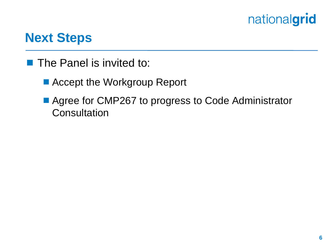#### **Next Steps**

- $\blacksquare$  The Panel is invited to:
	- Accept the Workgroup Report
	- Agree for CMP267 to progress to Code Administrator **Consultation**